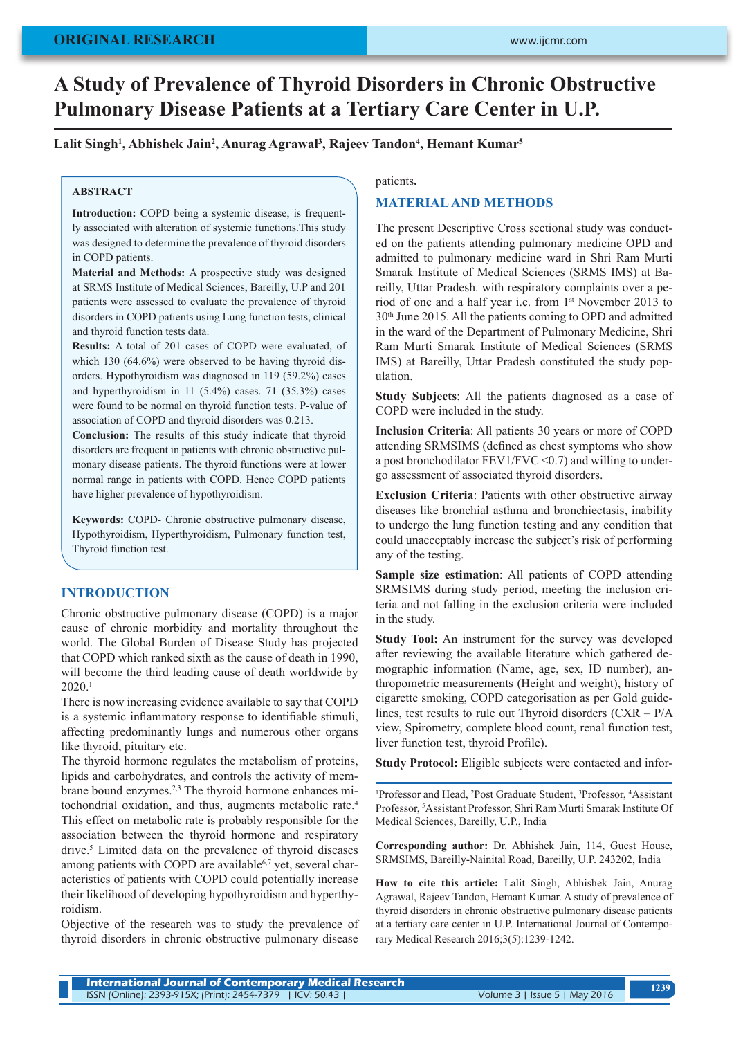# **A Study of Prevalence of Thyroid Disorders in Chronic Obstructive Pulmonary Disease Patients at a Tertiary Care Center in U.P.**

## $L$ alit Singh<sup>1</sup>, Abhishek Jain<sup>2</sup>, Anurag Agrawal<sup>3</sup>, Rajeev Tandon<sup>4</sup>, Hemant Kumar<sup>5</sup>

## **ABSTRACT**

**Introduction:** COPD being a systemic disease, is frequently associated with alteration of systemic functions.This study was designed to determine the prevalence of thyroid disorders in COPD patients.

**Material and Methods:** A prospective study was designed at SRMS Institute of Medical Sciences, Bareilly, U.P and 201 patients were assessed to evaluate the prevalence of thyroid disorders in COPD patients using Lung function tests, clinical and thyroid function tests data.

**Results:** A total of 201 cases of COPD were evaluated, of which 130 (64.6%) were observed to be having thyroid disorders. Hypothyroidism was diagnosed in 119 (59.2%) cases and hyperthyroidism in 11 (5.4%) cases. 71 (35.3%) cases were found to be normal on thyroid function tests. P-value of association of COPD and thyroid disorders was 0.213.

**Conclusion:** The results of this study indicate that thyroid disorders are frequent in patients with chronic obstructive pulmonary disease patients. The thyroid functions were at lower normal range in patients with COPD. Hence COPD patients have higher prevalence of hypothyroidism.

**Keywords:** COPD- Chronic obstructive pulmonary disease, Hypothyroidism, Hyperthyroidism, Pulmonary function test, Thyroid function test.

## **INTRODUCTION**

Chronic obstructive pulmonary disease (COPD) is a major cause of chronic morbidity and mortality throughout the world. The Global Burden of Disease Study has projected that COPD which ranked sixth as the cause of death in 1990, will become the third leading cause of death worldwide by 2020.1

There is now increasing evidence available to say that COPD is a systemic inflammatory response to identifiable stimuli, affecting predominantly lungs and numerous other organs like thyroid, pituitary etc.

The thyroid hormone regulates the metabolism of proteins, lipids and carbohydrates, and controls the activity of membrane bound enzymes.<sup>2,3</sup> The thyroid hormone enhances mitochondrial oxidation, and thus, augments metabolic rate.4 This effect on metabolic rate is probably responsible for the association between the thyroid hormone and respiratory drive.5 Limited data on the prevalence of thyroid diseases among patients with COPD are available<sup>6,7</sup> yet, several characteristics of patients with COPD could potentially increase their likelihood of developing hypothyroidism and hyperthyroidism.

Objective of the research was to study the prevalence of thyroid disorders in chronic obstructive pulmonary disease

#### patients**.**

### **MATERIAL AND METHODS**

The present Descriptive Cross sectional study was conducted on the patients attending pulmonary medicine OPD and admitted to pulmonary medicine ward in Shri Ram Murti Smarak Institute of Medical Sciences (SRMS IMS) at Bareilly, Uttar Pradesh. with respiratory complaints over a period of one and a half year i.e. from 1st November 2013 to 30th June 2015. All the patients coming to OPD and admitted in the ward of the Department of Pulmonary Medicine, Shri Ram Murti Smarak Institute of Medical Sciences (SRMS IMS) at Bareilly, Uttar Pradesh constituted the study population.

**Study Subjects**: All the patients diagnosed as a case of COPD were included in the study.

**Inclusion Criteria**: All patients 30 years or more of COPD attending SRMSIMS (defined as chest symptoms who show a post bronchodilator  $FEV1/FVC \leq 0.7$  and willing to undergo assessment of associated thyroid disorders.

**Exclusion Criteria**: Patients with other obstructive airway diseases like bronchial asthma and bronchiectasis, inability to undergo the lung function testing and any condition that could unacceptably increase the subject's risk of performing any of the testing.

**Sample size estimation**: All patients of COPD attending SRMSIMS during study period, meeting the inclusion criteria and not falling in the exclusion criteria were included in the study.

**Study Tool:** An instrument for the survey was developed after reviewing the available literature which gathered demographic information (Name, age, sex, ID number), anthropometric measurements (Height and weight), history of cigarette smoking, COPD categorisation as per Gold guidelines, test results to rule out Thyroid disorders (CXR – P/A view, Spirometry, complete blood count, renal function test, liver function test, thyroid Profile).

**Study Protocol:** Eligible subjects were contacted and infor-

<sup>1</sup>Professor and Head, <sup>2</sup>Post Graduate Student, <sup>3</sup>Professor, <sup>4</sup>Assistant Professor, 5 Assistant Professor, Shri Ram Murti Smarak Institute Of Medical Sciences, Bareilly, U.P., India

**Corresponding author:** Dr. Abhishek Jain, 114, Guest House, SRMSIMS, Bareilly-Nainital Road, Bareilly, U.P. 243202, India

**How to cite this article:** Lalit Singh, Abhishek Jain, Anurag Agrawal, Rajeev Tandon, Hemant Kumar. A study of prevalence of thyroid disorders in chronic obstructive pulmonary disease patients at a tertiary care center in U.P. International Journal of Contemporary Medical Research 2016;3(5):1239-1242.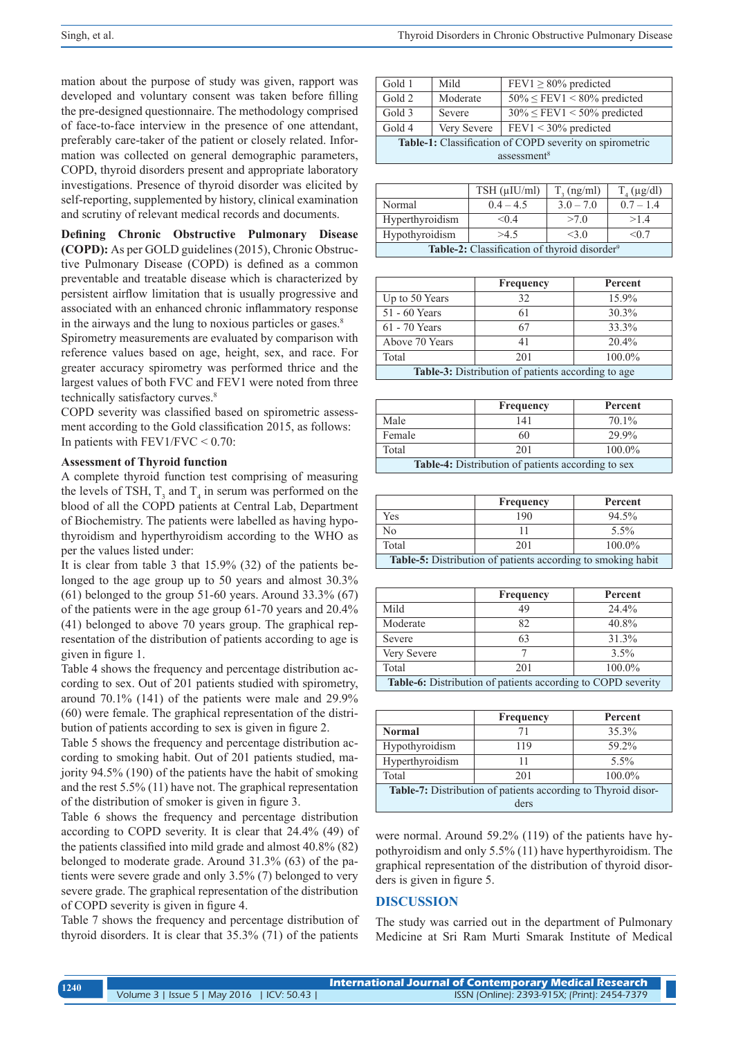mation about the purpose of study was given, rapport was developed and voluntary consent was taken before filling the pre-designed questionnaire. The methodology comprised of face-to-face interview in the presence of one attendant, preferably care-taker of the patient or closely related. Information was collected on general demographic parameters, COPD, thyroid disorders present and appropriate laboratory investigations. Presence of thyroid disorder was elicited by self-reporting, supplemented by history, clinical examination and scrutiny of relevant medical records and documents.

**Defining Chronic Obstructive Pulmonary Disease (COPD):** As per GOLD guidelines (2015), Chronic Obstructive Pulmonary Disease (COPD) is defined as a common preventable and treatable disease which is characterized by persistent airflow limitation that is usually progressive and associated with an enhanced chronic inflammatory response in the airways and the lung to noxious particles or gases.<sup>8</sup>

Spirometry measurements are evaluated by comparison with reference values based on age, height, sex, and race. For greater accuracy spirometry was performed thrice and the largest values of both FVC and FEV1 were noted from three technically satisfactory curves.<sup>8</sup>

COPD severity was classified based on spirometric assessment according to the Gold classification 2015, as follows: In patients with  $FEV1/FVC < 0.70$ :

#### **Assessment of Thyroid function**

A complete thyroid function test comprising of measuring the levels of TSH,  $T_3$  and  $T_4$  in serum was performed on the blood of all the COPD patients at Central Lab, Department of Biochemistry. The patients were labelled as having hypothyroidism and hyperthyroidism according to the WHO as per the values listed under:

It is clear from table 3 that 15.9% (32) of the patients belonged to the age group up to 50 years and almost  $30.3\%$  $(61)$  belonged to the group 51-60 years. Around 33.3%  $(67)$ of the patients were in the age group 61-70 years and 20.4% (41) belonged to above 70 years group. The graphical representation of the distribution of patients according to age is given in figure 1.

Table 4 shows the frequency and percentage distribution according to sex. Out of 201 patients studied with spirometry, around 70.1% (141) of the patients were male and 29.9% (60) were female. The graphical representation of the distribution of patients according to sex is given in figure 2.

Table 5 shows the frequency and percentage distribution according to smoking habit. Out of 201 patients studied, majority 94.5% (190) of the patients have the habit of smoking and the rest 5.5% (11) have not. The graphical representation of the distribution of smoker is given in figure 3.

Table 6 shows the frequency and percentage distribution according to COPD severity. It is clear that 24.4% (49) of the patients classified into mild grade and almost 40.8% (82) belonged to moderate grade. Around 31.3% (63) of the patients were severe grade and only 3.5% (7) belonged to very severe grade. The graphical representation of the distribution of COPD severity is given in figure 4.

Table 7 shows the frequency and percentage distribution of thyroid disorders. It is clear that 35.3% (71) of the patients

| Gold 1                                                  | Mild        | $FEV1 \ge 80\%$ predicted            |  |
|---------------------------------------------------------|-------------|--------------------------------------|--|
| Gold 2                                                  | Moderate    | $50\% \leq FEV1 \leq 80\%$ predicted |  |
| Gold 3                                                  | Severe      | $30\% \leq FEV1 \leq 50\%$ predicted |  |
| Gold 4                                                  | Very Severe | $FEV1 < 30\%$ predicted              |  |
| Table-1: Classification of COPD severity on spirometric |             |                                      |  |
| assessment <sup>8</sup>                                 |             |                                      |  |

|                                                          | $TSH$ ( $\mu$ IU/ml) | $T_3$ (ng/ml)  | $T_a$ (µg/dl) |
|----------------------------------------------------------|----------------------|----------------|---------------|
| Normal                                                   | $0.4 - 4.5$          | $3.0 - 7.0$    | $0.7 - 1.4$   |
| Hyperthyroidism                                          | < 0.4                | >70            | >14           |
| Hypothyroidism                                           | >4.5                 | $<$ 3 $\Omega$ | < 0.7         |
| Table-2: Classification of thyroid disorder <sup>9</sup> |                      |                |               |

|                                                           | <b>Frequency</b> | Percent |  |
|-----------------------------------------------------------|------------------|---------|--|
| Up to 50 Years                                            | 32               | 15.9%   |  |
| 51 - 60 Years                                             |                  | 30.3%   |  |
| 61 - 70 Years                                             | 67               | 33.3%   |  |
| Above 70 Years                                            |                  | 20.4%   |  |
| Total                                                     | 201              | 100.0%  |  |
| <b>Table-3:</b> Distribution of patients according to age |                  |         |  |

|                                                    | Frequency | Percent  |
|----------------------------------------------------|-----------|----------|
| Male                                               | 141       | $70.1\%$ |
| Female                                             | 60        | 29.9%    |
| Total                                              | 201       | 100.0%   |
| Table-4: Distribution of patients according to sex |           |          |

|                                                                     | Frequency | Percent |
|---------------------------------------------------------------------|-----------|---------|
| Yes                                                                 | 190       | 94.5%   |
| N <sub>0</sub>                                                      |           | $5.5\%$ |
| 100.0%<br>Total<br>201                                              |           |         |
| <b>Table-5:</b> Distribution of patients according to smoking habit |           |         |

|                                                              | <b>Frequency</b> | Percent  |  |
|--------------------------------------------------------------|------------------|----------|--|
| Mild                                                         | 49               | $24.4\%$ |  |
| Moderate                                                     | 82               | 40.8%    |  |
| Severe                                                       | 63               | 31.3%    |  |
| Very Severe                                                  |                  | 3.5%     |  |
| Total                                                        | 201              | 100.0%   |  |
| Table-6: Distribution of patients according to COPD severity |                  |          |  |

|                                                                      | Frequency | Percent |  |
|----------------------------------------------------------------------|-----------|---------|--|
| <b>Normal</b>                                                        |           | 35.3%   |  |
| Hypothyroidism                                                       | 119       | 59.2%   |  |
| Hyperthyroidism                                                      |           | $5.5\%$ |  |
| Total                                                                | 201       | 100.0%  |  |
| <b>Table-7:</b> Distribution of patients according to Thyroid disor- |           |         |  |
| ders                                                                 |           |         |  |

were normal. Around 59.2% (119) of the patients have hypothyroidism and only 5.5% (11) have hyperthyroidism. The graphical representation of the distribution of thyroid disorders is given in figure 5.

#### **DISCUSSION**

The study was carried out in the department of Pulmonary Medicine at Sri Ram Murti Smarak Institute of Medical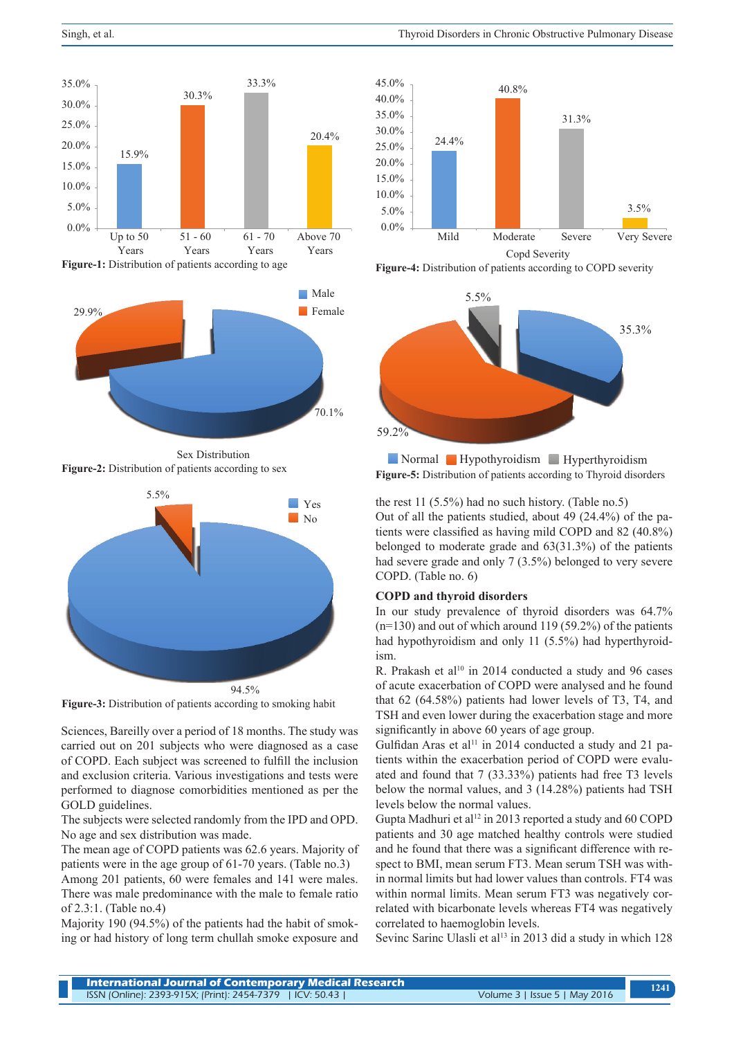

**Figure-1:** Distribution of patients according to age



Sex Distribution **Figure-2:** Distribution of patients according to sex



**Figure-3:** Distribution of patients according to smoking habit

Sciences, Bareilly over a period of 18 months. The study was carried out on 201 subjects who were diagnosed as a case of COPD. Each subject was screened to fulfill the inclusion and exclusion criteria. Various investigations and tests were performed to diagnose comorbidities mentioned as per the GOLD guidelines.

The subjects were selected randomly from the IPD and OPD. No age and sex distribution was made.

The mean age of COPD patients was 62.6 years. Majority of patients were in the age group of 61-70 years. (Table no.3)

Among 201 patients, 60 were females and 141 were males. There was male predominance with the male to female ratio of 2.3:1. (Table no.4)

Majority 190 (94.5%) of the patients had the habit of smoking or had history of long term chullah smoke exposure and



**Figure-4:** Distribution of patients according to COPD severity



**Figure-5:** Distribution of patients according to Thyroid disorders Normal Hypothyroidism Hyperthyroidism

the rest 11 (5.5%) had no such history. (Table no.5) Out of all the patients studied, about 49 (24.4%) of the patients were classified as having mild COPD and 82 (40.8%) belonged to moderate grade and 63(31.3%) of the patients had severe grade and only 7 (3.5%) belonged to very severe COPD. (Table no. 6)

#### **COPD and thyroid disorders**

In our study prevalence of thyroid disorders was 64.7% (n=130) and out of which around 119 (59.2%) of the patients had hypothyroidism and only 11 (5.5%) had hyperthyroidism.

R. Prakash et al<sup>10</sup> in 2014 conducted a study and 96 cases of acute exacerbation of COPD were analysed and he found that 62 (64.58%) patients had lower levels of T3, T4, and TSH and even lower during the exacerbation stage and more significantly in above 60 years of age group.

Gulfidan Aras et al<sup>11</sup> in 2014 conducted a study and 21 patients within the exacerbation period of COPD were evaluated and found that 7 (33.33%) patients had free T3 levels below the normal values, and 3 (14.28%) patients had TSH levels below the normal values.

Gupta Madhuri et al<sup>12</sup> in 2013 reported a study and 60 COPD patients and 30 age matched healthy controls were studied and he found that there was a significant difference with respect to BMI, mean serum FT3. Mean serum TSH was within normal limits but had lower values than controls. FT4 was within normal limits. Mean serum FT3 was negatively correlated with bicarbonate levels whereas FT4 was negatively correlated to haemoglobin levels.

Sevinc Sarinc Ulasli et al<sup>13</sup> in 2013 did a study in which  $128$